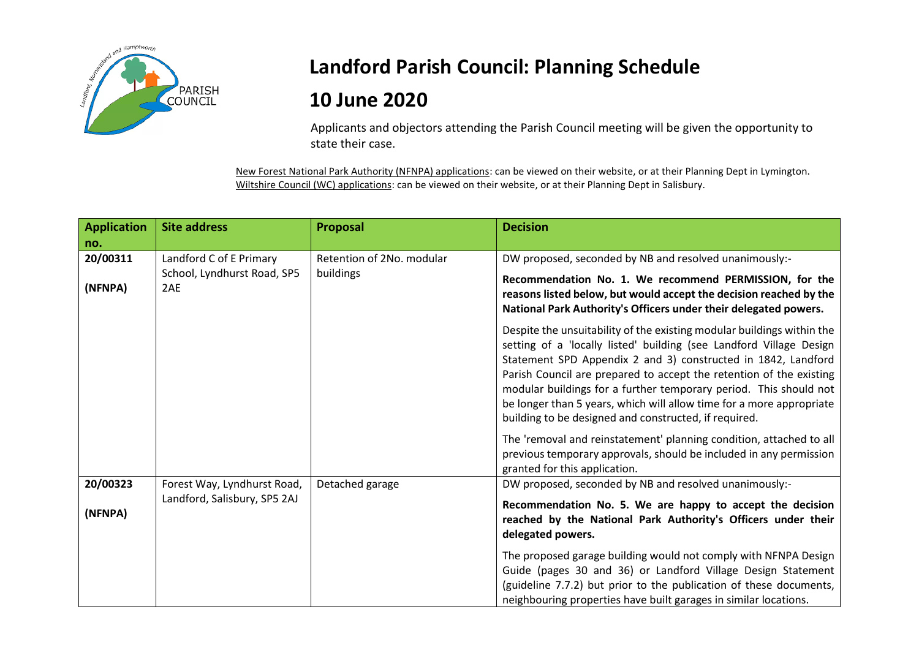

## **Landford Parish Council: Planning Schedule**

## **10 June 2020**

Applicants and objectors attending the Parish Council meeting will be given the opportunity to state their case.

New Forest National Park Authority (NFNPA) applications: can be viewed on their website, or at their Planning Dept in Lymington. Wiltshire Council (WC) applications: can be viewed on their website, or at their Planning Dept in Salisbury.

| <b>Application</b>  | <b>Site address</b>                                         | Proposal                  | <b>Decision</b>                                                                                                                                                                                                                                                                                                                                                                                                                                                                             |
|---------------------|-------------------------------------------------------------|---------------------------|---------------------------------------------------------------------------------------------------------------------------------------------------------------------------------------------------------------------------------------------------------------------------------------------------------------------------------------------------------------------------------------------------------------------------------------------------------------------------------------------|
| no.                 |                                                             |                           |                                                                                                                                                                                                                                                                                                                                                                                                                                                                                             |
| 20/00311            | Landford C of E Primary                                     | Retention of 2No. modular | DW proposed, seconded by NB and resolved unanimously:-                                                                                                                                                                                                                                                                                                                                                                                                                                      |
| (NFNPA)             | School, Lyndhurst Road, SP5<br>2AE                          | buildings                 | Recommendation No. 1. We recommend PERMISSION, for the<br>reasons listed below, but would accept the decision reached by the<br>National Park Authority's Officers under their delegated powers.                                                                                                                                                                                                                                                                                            |
|                     |                                                             |                           | Despite the unsuitability of the existing modular buildings within the<br>setting of a 'locally listed' building (see Landford Village Design<br>Statement SPD Appendix 2 and 3) constructed in 1842, Landford<br>Parish Council are prepared to accept the retention of the existing<br>modular buildings for a further temporary period. This should not<br>be longer than 5 years, which will allow time for a more appropriate<br>building to be designed and constructed, if required. |
|                     |                                                             |                           | The 'removal and reinstatement' planning condition, attached to all<br>previous temporary approvals, should be included in any permission<br>granted for this application.                                                                                                                                                                                                                                                                                                                  |
| 20/00323<br>(NFNPA) | Forest Way, Lyndhurst Road,<br>Landford, Salisbury, SP5 2AJ | Detached garage           | DW proposed, seconded by NB and resolved unanimously:-<br>Recommendation No. 5. We are happy to accept the decision<br>reached by the National Park Authority's Officers under their<br>delegated powers.                                                                                                                                                                                                                                                                                   |
|                     |                                                             |                           | The proposed garage building would not comply with NFNPA Design<br>Guide (pages 30 and 36) or Landford Village Design Statement<br>(guideline 7.7.2) but prior to the publication of these documents,<br>neighbouring properties have built garages in similar locations.                                                                                                                                                                                                                   |